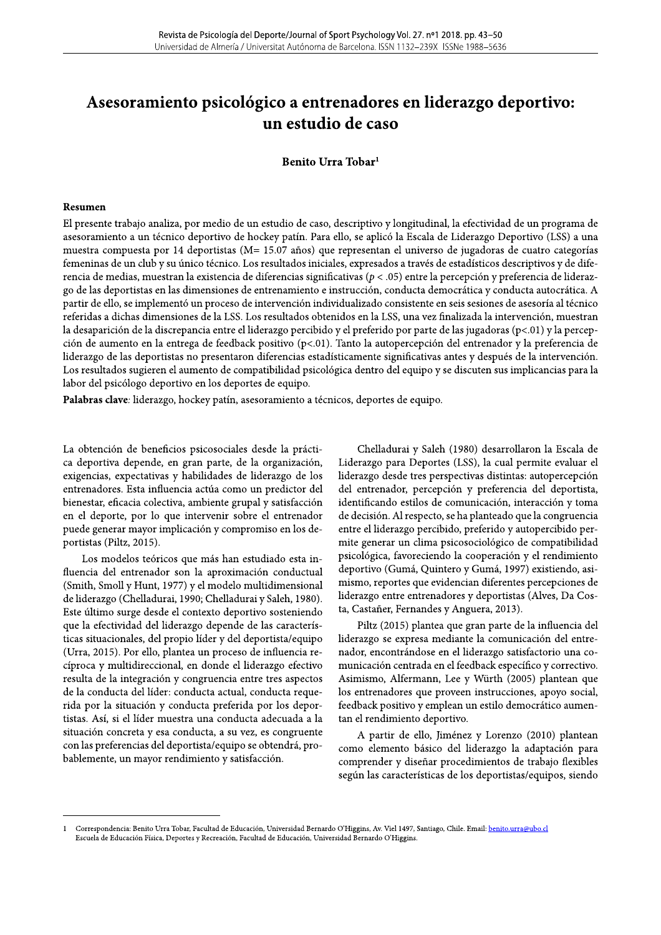# Revista de Psicología del Deporte/Journal of Sport Psychology Vol. 27. nº1 2018. pp. 43–50<br>
Universidad de Almería / Universitat Autónoma de Barcelona. ISSN 1132–239X ISSNe 1988–5636<br> **Asesoramiento psicológico a entrenado**

Benito Urra Tobar<sup>1</sup>

#### Resumen

El presente trabajo analiza, por medio de un estudio de caso, descriptivo y longitudinal, la efectividad de un programa de asesoramiento a un técnico deportivo de hockey patín. Para ello, se aplicó la Escala de Liderazgo Deportivo (LSS) a una muestra compuesta por 14 deportistas (M= 15.07 años) que representan el universo de jugadoras de cuatro categorías femeninas de un club y su único técnico. Los resultados iniciales, expresados a través de estadísticos descriptivos y de diferencia de medias, muestran la existencia de diferencias significativas ( $p < .05$ ) entre la percepción y preferencia de liderazgo de las deportistas en las dimensiones de entrenamiento e instrucción, conducta democrática y conducta autocrática. A partir de ello, se implementó un proceso de intervención individualizado consistente en seis sesiones de asesoría al técnico referidas a dichas dimensiones de la LSS. Los resultados obtenidos en la LSS, una vez finalizada la intervención, muestran la desaparición de la discrepancia entre el liderazgo percibido y el preferido por parte de las jugadoras (p<.01) y la percepción de aumento en la entrega de feedback positivo (p<.01). Tanto la autopercepción del entrenador y la preferencia de liderazgo de las deportistas no presentaron diferencias estadísticamente significativas antes y después de la intervención. Los resultados sugieren el aumento de compatibilidad psicológica dentro del equipo y se discuten sus implicancias para la labor del psicólogo deportivo en los deportes de equipo.

Palabras clave: liderazgo, hockey patín, asesoramiento a técnicos, deportes de equipo.

La obtención de beneficios psicosociales desde la práctica deportiva depende, en gran parte, de la organización, exigencias, expectativas y habilidades de liderazgo de los entrenadores. Esta influencia actúa como un predictor del bienestar, eficacia colectiva, ambiente grupal y satisfacción en el deporte, por lo que intervenir sobre el entrenador puede generar mayor implicación y compromiso en los deportistas (Piltz, 2015).

Los modelos teóricos que más han estudiado esta influencia del entrenador son la aproximación conductual (Smith, Smoll y Hunt, 1977) y el modelo multidimensional de liderazgo (Chelladurai, 1990; Chelladurai y Saleh, 1980). Este último surge desde el contexto deportivo sosteniendo que la efectividad del liderazgo depende de las características situacionales, del propio líder y del deportista/equipo (Urra, 2015). Por ello, plantea un proceso de influencia recíproca y multidireccional, en donde el liderazgo efectivo resulta de la integración y congruencia entre tres aspectos de la conducta del líder: conducta actual, conducta requerida por la situación y conducta preferida por los deportistas. Así, si el líder muestra una conducta adecuada a la situación concreta y esa conducta, a su vez, es congruente con las preferencias del deportista/equipo se obtendrá, probablemente, un mayor rendimiento y satisfacción.

Chelladurai y Saleh (1980) desarrollaron la Escala de Liderazgo para Deportes (LSS), la cual permite evaluar el liderazgo desde tres perspectivas distintas: autopercepción del entrenador, percepción y preferencia del deportista, identificando estilos de comunicación, interacción y toma de decisión. Al respecto, se ha planteado que la congruencia entre el liderazgo percibido, preferido y autopercibido permite generar un clima psicosociológico de compatibilidad psicológica, favoreciendo la cooperación y el rendimiento deportivo (Gumá, Quintero y Gumá, 1997) existiendo, asimismo, reportes que evidencian diferentes percepciones de liderazgo entre entrenadores y deportistas (Alves, Da Costa, Castañer, Fernandes y Anguera, 2013).

Piltz (2015) plantea que gran parte de la influencia del liderazgo se expresa mediante la comunicación del entrenador, encontrándose en el liderazgo satisfactorio una comunicación centrada en el feedback específico y correctivo. Asimismo, Alfermann, Lee y Würth (2005) plantean que los entrenadores que proveen instrucciones, apoyo social, feedback positivo y emplean un estilo democrático aumentan el rendimiento deportivo.

A partir de ello, Jiménez y Lorenzo (2010) plantean como elemento básico del liderazgo la adaptación para comprender y diseñar procedimientos de trabajo flexibles según las características de los deportistas/equipos, siendo

Correspondencia: Benito Urra Tobar, Facultad de Educación, Universidad Bernardo O'Higgins, Av. Viel 1497, Santiago, Chile. Email: benito.urra@ubo.cl Escuela de Educación Física, Deportes y Recreación, Facultad de Educación, Universidad Bernardo O'Higgins.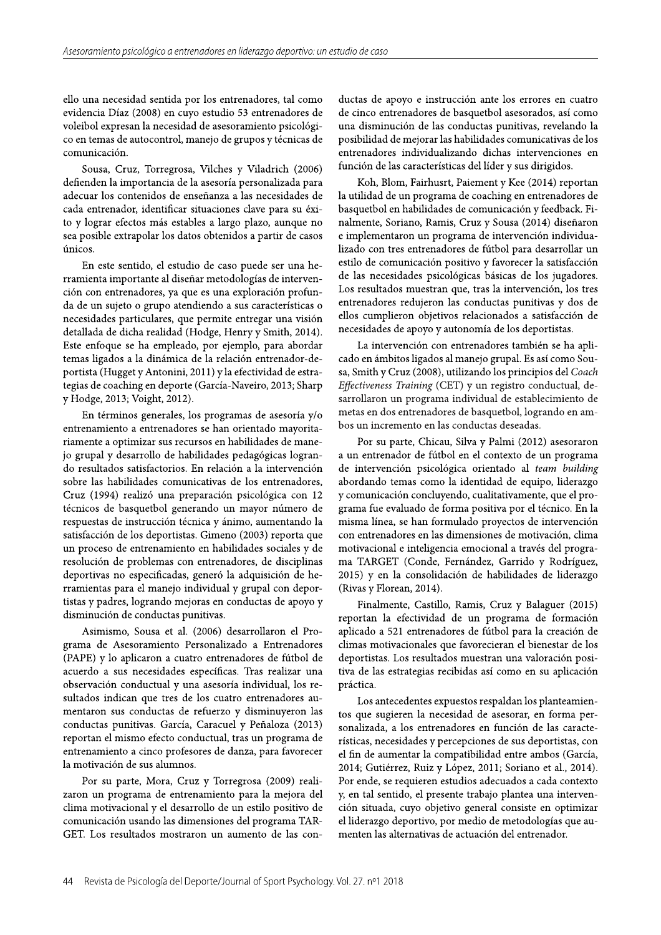ello una necesidad sentida por los entrenadores, tal como evidencia Díaz (2008) en cuyo estudio 53 entrenadores de voleibol expresan la necesidad de asesoramiento psicológico en temas de autocontrol, manejo de grupos y técnicas de comunicación.

Sousa, Cruz, Torregrosa, Vilches y Viladrich (2006) defienden la importancia de la asesoría personalizada para adecuar los contenidos de enseñanza a las necesidades de cada entrenador, identificar situaciones clave para su éxito y lograr efectos más estables a largo plazo, aunque no sea posible extrapolar los datos obtenidos a partir de casos únicos.

En este sentido, el estudio de caso puede ser una herramienta importante al diseñar metodologías de intervención con entrenadores, ya que es una exploración profunda de un sujeto o grupo atendiendo a sus características o necesidades particulares, que permite entregar una visión detallada de dicha realidad (Hodge, Henry y Smith, 2014). Este enfoque se ha empleado, por ejemplo, para abordar temas ligados a la dinámica de la relación entrenador-deportista (Hugget y Antonini, 2011) y la efectividad de estrategias de coaching en deporte (García-Naveiro, 2013; Sharp y Hodge, 2013; Voight, 2012).

En términos generales, los programas de asesoría y/o entrenamiento a entrenadores se han orientado mayoritariamente a optimizar sus recursos en habilidades de manejo grupal y desarrollo de habilidades pedagógicas logrando resultados satisfactorios. En relación a la intervención sobre las habilidades comunicativas de los entrenadores, Cruz (1994) realizó una preparación psicológica con 12 técnicos de basquetbol generando un mayor número de respuestas de instrucción técnica y ánimo, aumentando la satisfacción de los deportistas. Gimeno (2003) reporta que un proceso de entrenamiento en habilidades sociales y de resolución de problemas con entrenadores, de disciplinas deportivas no especificadas, generó la adquisición de herramientas para el manejo individual y grupal con deportistas y padres, logrando mejoras en conductas de apoyo y disminución de conductas punitivas.

Asimismo, Sousa et al. (2006) desarrollaron el Programa de Asesoramiento Personalizado a Entrenadores (PAPE) y lo aplicaron a cuatro entrenadores de fútbol de acuerdo a sus necesidades específicas. Tras realizar una observación conductual y una asesoría individual, los resultados indican que tres de los cuatro entrenadores aumentaron sus conductas de refuerzo y disminuyeron las conductas punitivas. García, Caracuel y Peñaloza (2013) reportan el mismo efecto conductual, tras un programa de entrenamiento a cinco profesores de danza, para favorecer la motivación de sus alumnos.

Por su parte, Mora, Cruz y Torregrosa (2009) realizaron un programa de entrenamiento para la mejora del clima motivacional y el desarrollo de un estilo positivo de comunicación usando las dimensiones del programa TAR-GET. Los resultados mostraron un aumento de las conductas de apoyo e instrucción ante los errores en cuatro de cinco entrenadores de basquetbol asesorados, así como una disminución de las conductas punitivas, revelando la posibilidad de mejorar las habilidades comunicativas de los entrenadores individualizando dichas intervenciones en función de las características del líder y sus dirigidos.

Koh, Blom, Fairhusrt, Paiement y Kee (2014) reportan la utilidad de un programa de coaching en entrenadores de basquetbol en habilidades de comunicación y feedback. Finalmente, Soriano, Ramis, Cruz y Sousa (2014) diseñaron e implementaron un programa de intervención individualizado con tres entrenadores de fútbol para desarrollar un estilo de comunicación positivo y favorecer la satisfacción de las necesidades psicológicas básicas de los jugadores. Los resultados muestran que, tras la intervención, los tres entrenadores redujeron las conductas punitivas y dos de ellos cumplieron objetivos relacionados a satisfacción de necesidades de apoyo y autonomía de los deportistas.

La intervención con entrenadores también se ha aplicado en ámbitos ligados al manejo grupal. Es así como Sousa, Smith y Cruz (2008), utilizando los principios del Coach Effectiveness Training (CET) y un registro conductual, desarrollaron un programa individual de establecimiento de metas en dos entrenadores de basquetbol, logrando en ambos un incremento en las conductas deseadas.

Por su parte, Chicau, Silva y Palmi (2012) asesoraron a un entrenador de fútbol en el contexto de un programa de intervención psicológica orientado al team building abordando temas como la identidad de equipo, liderazgo y comunicación concluyendo, cualitativamente, que el programa fue evaluado de forma positiva por el técnico. En la misma línea, se han formulado proyectos de intervención con entrenadores en las dimensiones de motivación, clima motivacional e inteligencia emocional a través del programa TARGET (Conde, Fernández, Garrido y Rodríguez, 2015) y en la consolidación de habilidades de liderazgo (Rivas y Florean, 2014).

Finalmente, Castillo, Ramis, Cruz y Balaguer (2015) reportan la efectividad de un programa de formación aplicado a 521 entrenadores de fútbol para la creación de climas motivacionales que favorecieran el bienestar de los deportistas. Los resultados muestran una valoración positiva de las estrategias recibidas así como en su aplicación práctica.

Los antecedentes expuestos respaldan los planteamientos que sugieren la necesidad de asesorar, en forma personalizada, a los entrenadores en función de las características, necesidades y percepciones de sus deportistas, con el fin de aumentar la compatibilidad entre ambos (García, 2014; Gutiérrez, Ruiz y López, 2011; Soriano et al., 2014). Por ende, se requieren estudios adecuados a cada contexto y, en tal sentido, el presente trabajo plantea una intervención situada, cuyo objetivo general consiste en optimizar el liderazgo deportivo, por medio de metodologías que aumenten las alternativas de actuación del entrenador.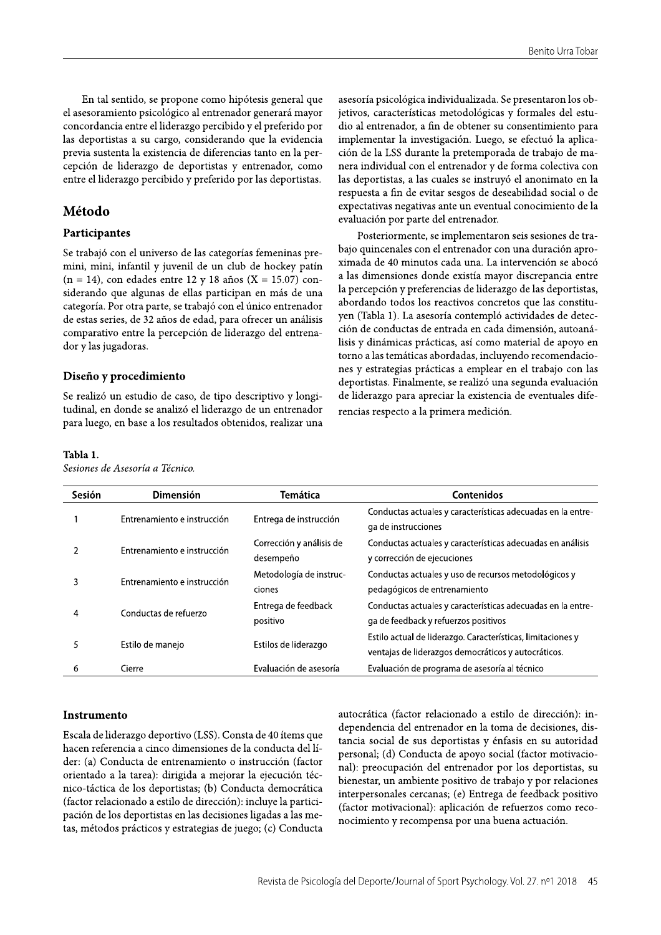En tal sentido, se propone como hipótesis general que el asesoramiento psicológico al entrenador generará mayor concordancia entre el liderazgo percibido y el preferido por las deportistas a su cargo, considerando que la evidencia previa sustenta la existencia de diferencias tanto en la percepción de liderazgo de deportistas y entrenador, como entre el liderazgo percibido y preferido por las deportistas.

# Método

# Participantes

Se trabajó con el universo de las categorías femeninas premini, mini, infantil y juvenil de un club de hockey patín  $(n = 14)$ , con edades entre 12 y 18 años (X = 15.07) considerando que algunas de ellas participan en más de una categoría. Por otra parte, se trabajó con el único entrenador de estas series, de 32 años de edad, para ofrecer un análisis comparativo entre la percepción de liderazgo del entrenador y las jugadoras.

## Diseño y procedimiento

Se realizó un estudio de caso, de tipo descriptivo y longitudinal, en donde se analizó el liderazgo de un entrenador para luego, en base a los resultados obtenidos, realizar una

### Tabla 1.

Sesiones de Asesoría a Técnico.

asesoría psicológica individualizada. Se presentaron los objetivos, características metodológicas y formales del estudio al entrenador, a fin de obtener su consentimiento para implementar la investigación. Luego, se efectuó la aplicación de la LSS durante la pretemporada de trabajo de manera individual con el entrenador y de forma colectiva con las deportistas, a las cuales se instruyó el anonimato en la respuesta a fin de evitar sesgos de deseabilidad social o de expectativas negativas ante un eventual conocimiento de la evaluación por parte del entrenador.

Posteriormente, se implementaron seis sesiones de trabajo quincenales con el entrenador con una duración aproximada de 40 minutos cada una. La intervención se abocó a las dimensiones donde existía mayor discrepancia entre la percepción y preferencias de liderazgo de las deportistas, abordando todos los reactivos concretos que las constituyen (Tabla 1). La asesoría contempló actividades de detección de conductas de entrada en cada dimensión, autoanálisis y dinámicas prácticas, así como material de apoyo en torno a las temáticas abordadas, incluyendo recomendaciones y estrategias prácticas a emplear en el trabajo con las deportistas. Finalmente, se realizó una segunda evaluación de liderazgo para apreciar la existencia de eventuales diferencias respecto a la primera medición.

| <b>Sesión</b> | <b>Dimensión</b>            | Temática                 | <b>Contenidos</b>                                           |
|---------------|-----------------------------|--------------------------|-------------------------------------------------------------|
|               | Entrenamiento e instrucción | Entrega de instrucción   | Conductas actuales y características adecuadas en la entre- |
|               |                             |                          | ga de instrucciones                                         |
|               | Entrenamiento e instrucción | Corrección y análisis de | Conductas actuales y características adecuadas en análisis  |
|               |                             | desempeño                | y corrección de ejecuciones                                 |
| 3             | Entrenamiento e instrucción | Metodología de instruc-  | Conductas actuales y uso de recursos metodológicos y        |
|               |                             | ciones                   | pedagógicos de entrenamiento                                |
| 4             | Conductas de refuerzo       | Entrega de feedback      | Conductas actuales y características adecuadas en la entre- |
|               |                             | positivo                 | ga de feedback y refuerzos positivos                        |
| 5             | Estilo de manejo            | Estilos de liderazgo     | Estilo actual de liderazgo. Características, limitaciones y |
|               |                             |                          | ventajas de liderazgos democráticos y autocráticos.         |
| 6             | Cierre                      | Evaluación de asesoría   | Evaluación de programa de asesoría al técnico               |

#### Instrumento

Escala de liderazgo deportivo (LSS). Consta de 40 ítems que hacen referencia a cinco dimensiones de la conducta del líder: (a) Conducta de entrenamiento o instrucción (factor orientado a la tarea): dirigida a mejorar la ejecución técnico-táctica de los deportistas; (b) Conducta democrática (factor relacionado a estilo de dirección): incluye la participación de los deportistas en las decisiones ligadas a las metas, métodos prácticos y estrategias de juego; (c) Conducta autocrática (factor relacionado a estilo de dirección): independencia del entrenador en la toma de decisiones, distancia social de sus deportistas y énfasis en su autoridad personal; (d) Conducta de apoyo social (factor motivacional): preocupación del entrenador por los deportistas, su bienestar, un ambiente positivo de trabajo y por relaciones interpersonales cercanas; (e) Entrega de feedback positivo (factor motivacional): aplicación de refuerzos como reconocimiento y recompensa por una buena actuación.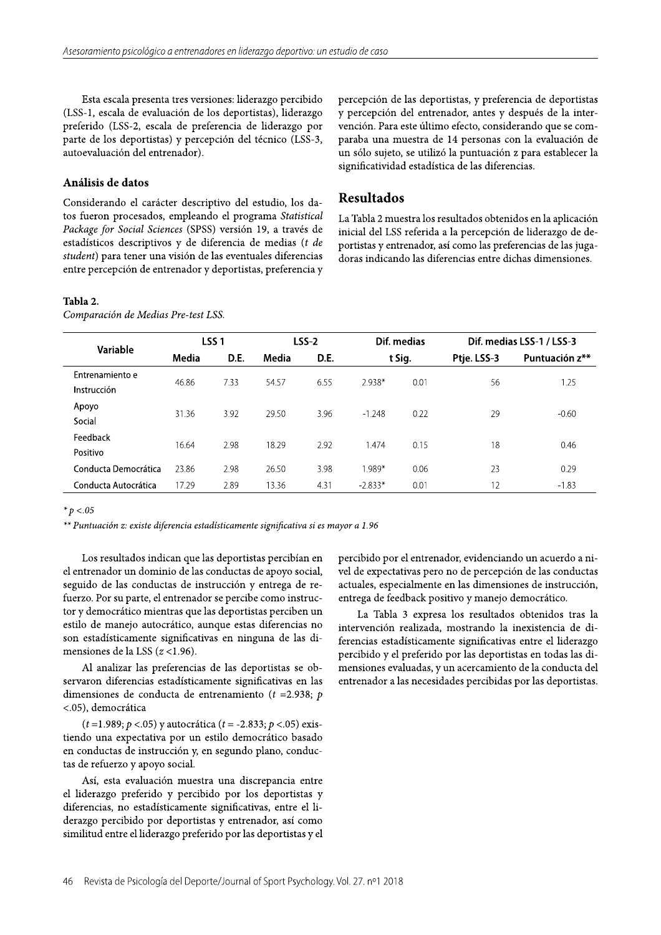Esta escala presenta tres versiones: liderazgo percibido (LSS-1, escala de evaluación de los deportistas), liderazgo preferido (LSS-2, escala de preferencia de liderazgo por parte de los deportistas) y percepción del técnico (LSS-3, autoevaluación del entrenador).

## Análisis de datos

Considerando el carácter descriptivo del estudio, los datos fueron procesados, empleando el programa Statistical Package for Social Sciences (SPSS) versión 19, a través de estadísticos descriptivos y de diferencia de medias (t de student) para tener una visión de las eventuales diferencias entre percepción de entrenador y deportistas, preferencia y percepción de las deportistas, y preferencia de deportistas y percepción del entrenador, antes y después de la intervención. Para este último efecto, considerando que se comparaba una muestra de 14 personas con la evaluación de un sólo sujeto, se utilizó la puntuación z para establecer la significatividad estadística de las diferencias.

## Resultados

La Tabla 2 muestra los resultados obtenidos en la aplicación inicial del LSS referida a la percepción de liderazgo de deportistas y entrenador, así como las preferencias de las jugadoras indicando las diferencias entre dichas dimensiones.

### Tabla 2.

Comparación de Medias Pre-test LSS.

|                                | LSS <sub>1</sub> |      | LSS-2 |      | Dif. medias |        | Dif. medias LSS-1 / LSS-3 |                |  |
|--------------------------------|------------------|------|-------|------|-------------|--------|---------------------------|----------------|--|
| Variable                       | Media            | D.E. | Media | D.E. |             | t Sig. | Ptje. LSS-3               | Puntuación z** |  |
| Entrenamiento e<br>Instrucción | 46.86            | 7.33 | 54.57 | 6.55 | 2.938*      | 0.01   | 56                        | 1.25           |  |
| Apoyo<br>Social                | 31.36            | 3.92 | 29.50 | 3.96 | $-1.248$    | 0.22   | 29                        | $-0.60$        |  |
| Feedback<br>Positivo           | 16.64            | 2.98 | 18.29 | 2.92 | .474        | 0.15   | 18                        | 0.46           |  |
| Conducta Democrática           | 23.86            | 2.98 | 26.50 | 3.98 | 1.989*      | 0.06   | 23                        | 0.29           |  |
| Conducta Autocrática           | 17.29            | 2.89 | 13.36 | 4.31 | $-2.833*$   | 0.01   | 12                        | $-1.83$        |  |

\*  $p < 0.05$ 

\*\* Puntuación z: existe diferencia estadísticamente significativa si es mayor a 1.96

Los resultados indican que las deportistas percibían en el entrenador un dominio de las conductas de apoyo social, seguido de las conductas de instrucción y entrega de refuerzo. Por su parte, el entrenador se percibe como instructor y democrático mientras que las deportistas perciben un estilo de manejo autocrático, aunque estas diferencias no son estadísticamente significativas en ninguna de las dimensiones de la LSS  $(z < 1.96)$ .

Al analizar las preferencias de las deportistas se observaron diferencias estadísticamente significativas en las dimensiones de conducta de entrenamiento ( $t = 2.938$ ; p <.05), democrática

 $(t=1.989; p < .05)$  y autocrática ( $t = -2.833; p < .05$ ) existiendo una expectativa por un estilo democrático basado en conductas de instrucción y, en segundo plano, conductas de refuerzo y apoyo social.

Así, esta evaluación muestra una discrepancia entre el liderazgo preferido y percibido por los deportistas y diferencias, no estadísticamente significativas, entre el liderazgo percibido por deportistas y entrenador, así como similitud entre el liderazgo preferido por las deportistas y el percibido por el entrenador, evidenciando un acuerdo a nivel de expectativas pero no de percepción de las conductas actuales, especialmente en las dimensiones de instrucción, entrega de feedback positivo y manejo democrático.

La Tabla 3 expresa los resultados obtenidos tras la intervención realizada, mostrando la inexistencia de diferencias estadísticamente significativas entre el liderazgo percibido y el preferido por las deportistas en todas las dimensiones evaluadas, y un acercamiento de la conducta del entrenador a las necesidades percibidas por las deportistas.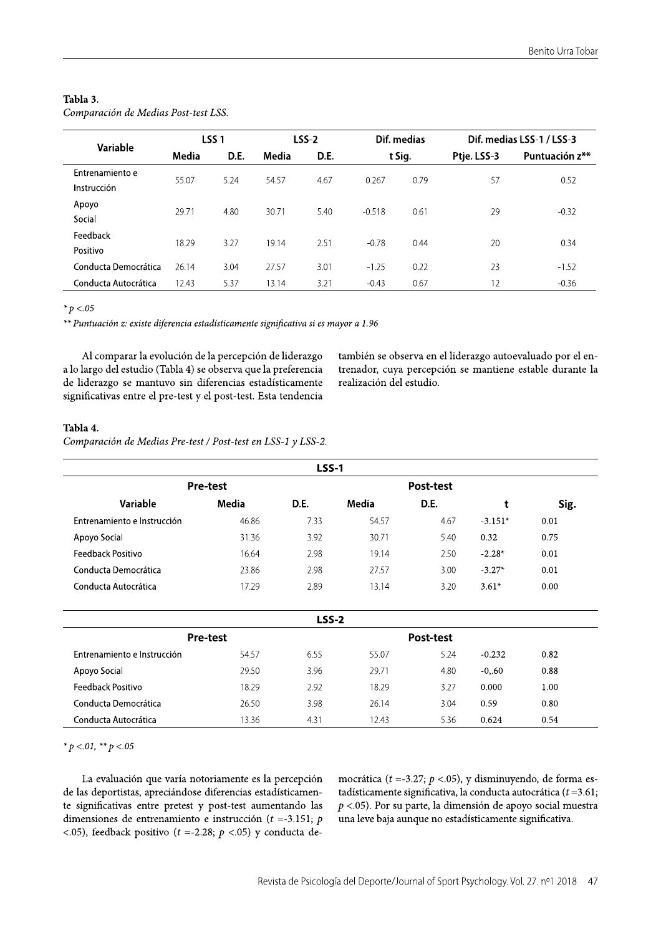## Tabla 3.

| Comparación de Medias Post-test LSS. |  |  |  |  |
|--------------------------------------|--|--|--|--|
|--------------------------------------|--|--|--|--|

|                                | LSS <sub>1</sub> |      | <b>LSS-2</b> |      | Dif. medias |      | Dif. medias LSS-1 / LSS-3 |                |
|--------------------------------|------------------|------|--------------|------|-------------|------|---------------------------|----------------|
| Variable                       | Media            | D.E. | Media        | D.E. | t Sig.      |      | Ptje. LSS-3               | Puntuación z** |
| Entrenamiento e<br>Instrucción | 55.07            | 5.24 | 54.57        | 4.67 | 0.267       | 0.79 | 57                        | 0.52           |
| Apoyo<br>Social                | 29.71            | 4.80 | 30.71        | 5.40 | $-0.518$    | 0.61 | 29                        | $-0.32$        |
| Feedback<br>Positivo           | 18.29            | 3.27 | 19.14        | 2.51 | $-0.78$     | 0.44 | 20                        | 0.34           |
| Conducta Democrática           | 26.14            | 3.04 | 27.57        | 3.01 | $-1.25$     | 0.22 | 23                        | $-1.52$        |
| Conducta Autocrática           | 12.43            | 5.37 | 13.14        | 3.21 | $-0.43$     | 0.67 | 12                        | $-0.36$        |

\*  $p < 0.05$ 

\*\* Puntuación z: existe diferencia estadísticamente significativa si es mayor a 1.96

Al comparar la evolución de la percepción de liderazgo a lo largo del estudio (Tabla 4) se observa que la preferencia de liderazgo se mantuvo sin diferencias estadísticamente significativas entre el pre-test y el post-test. Esta tendencia también se observa en el liderazgo autoevaluado por el entrenador, cuya percepción se mantiene estable durante la realización del estudio.

# Tabla 4.

Comparación de Medias Pre-test / Post-test en LSS-1 y LSS-2.

|                             |                 | <b>LSS-1</b> |       |           |           |      |
|-----------------------------|-----------------|--------------|-------|-----------|-----------|------|
|                             | <b>Pre-test</b> |              |       | Post-test |           |      |
| Variable                    | Media           | D.E.         | Media | D.E.      | t         | Sig. |
| Entrenamiento e Instrucción | 46.86           | 7.33         | 54.57 | 4.67      | $-3.151*$ | 0.01 |
| Apoyo Social                | 31.36           | 3.92         | 30.71 | 5.40      | 0.32      | 0.75 |
| Feedback Positivo           | 16.64           | 2.98         | 19.14 | 2.50      | $-2.28*$  | 0.01 |
| Conducta Democrática        | 23.86           | 2.98         | 27.57 | 3.00      | $-3.27*$  | 0.01 |
| Conducta Autocrática        | 17.29           | 2.89         | 13.14 | 3.20      | $3.61*$   | 0.00 |
|                             |                 | <b>LSS-2</b> |       |           |           |      |
|                             | <b>Pre-test</b> |              |       | Post-test |           |      |
| Entrenamiento e Instrucción | 54.57           | 6.55         | 55.07 | 5.24      | $-0.232$  | 0.82 |
| Apoyo Social                | 29.50           | 3.96         | 29.71 | 4.80      | $-0, 60$  | 0.88 |
| Feedback Positivo           | 18.29           | 2.92         | 18.29 | 3.27      | 0.000     | 1.00 |
| Conducta Democrática        | 26.50           | 3.98         | 26.14 | 3.04      | 0.59      | 0.80 |
| Conducta Autocrática        | 13.36           | 4.31         | 12.43 | 5.36      | 0.624     | 0.54 |

\*  $p < 01$ , \*\*  $p < 05$ 

La evaluación que varía notoriamente es la percepción de las deportistas, apreciándose diferencias estadísticamente significativas entre pretest y post-test aumentando las dimensiones de entrenamiento e instrucción ( $t = -3.151$ ; p <.05), feedback positivo ( $t = -2.28$ ;  $p < .05$ ) y conducta democrática ( $t = -3.27$ ;  $p < .05$ ), y disminuyendo, de forma estadísticamente significativa, la conducta autocrática ( $t = 3.61$ ;  $p$  <.05). Por su parte, la dimensión de apoyo social muestra una leve baja aunque no estadísticamente significativa.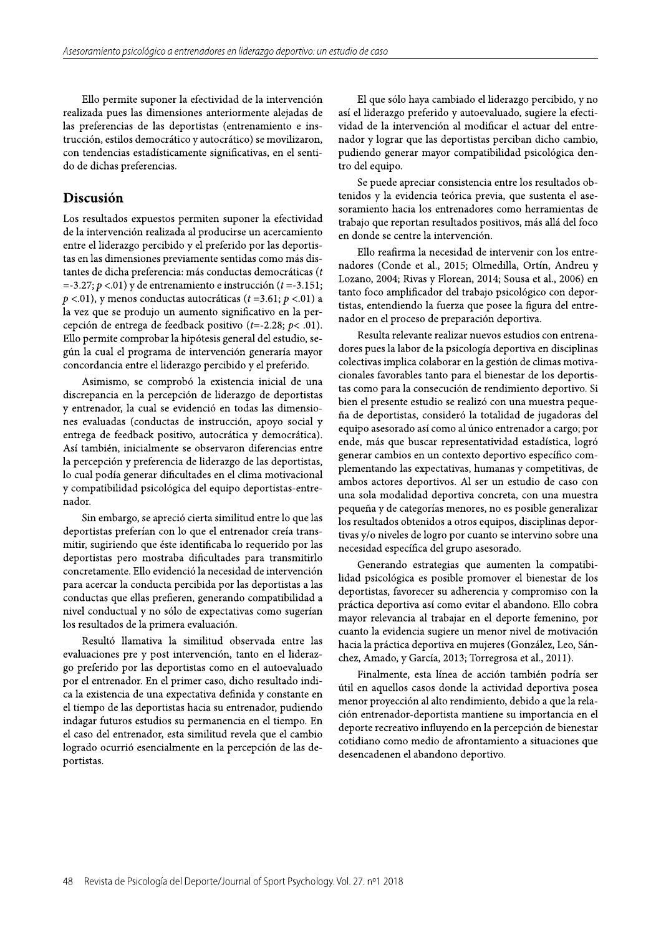Ello permite suponer la efectividad de la intervención realizada pues las dimensiones anteriormente alejadas de las preferencias de las deportistas (entrenamiento e instrucción, estilos democrático y autocrático) se movilizaron, con tendencias estadísticamente significativas, en el sentido de dichas preferencias.

# Discusión

Los resultados expuestos permiten suponer la efectividad de la intervención realizada al producirse un acercamiento entre el liderazgo percibido y el preferido por las deportistas en las dimensiones previamente sentidas como más distantes de dicha preferencia: más conductas democráticas (t =-3.27;  $p$  <.01) y de entrenamiento e instrucción ( $t$  =-3.151;  $p < 0.01$ ), y menos conductas autocráticas ( $t = 3.61$ ;  $p < 0.01$ ) a la vez que se produjo un aumento significativo en la percepción de entrega de feedback positivo ( $t = -2.28$ ;  $p < .01$ ). Ello permite comprobar la hipótesis general del estudio, según la cual el programa de intervención generaría mayor concordancia entre el liderazgo percibido y el preferido.

Asimismo, se comprobó la existencia inicial de una discrepancia en la percepción de liderazgo de deportistas y entrenador, la cual se evidenció en todas las dimensiones evaluadas (conductas de instrucción, apoyo social y entrega de feedback positivo, autocrática y democrática). Así también, inicialmente se observaron diferencias entre la percepción y preferencia de liderazgo de las deportistas, lo cual podía generar dificultades en el clima motivacional y compatibilidad psicológica del equipo deportistas-entrenador.

Sin embargo, se apreció cierta similitud entre lo que las deportistas preferían con lo que el entrenador creía transmitir, sugiriendo que éste identificaba lo requerido por las deportistas pero mostraba dificultades para transmitirlo concretamente. Ello evidenció la necesidad de intervención para acercar la conducta percibida por las deportistas a las conductas que ellas prefieren, generando compatibilidad a nivel conductual y no sólo de expectativas como sugerían los resultados de la primera evaluación.

Resultó llamativa la similitud observada entre las evaluaciones pre y post intervención, tanto en el liderazgo preferido por las deportistas como en el autoevaluado por el entrenador. En el primer caso, dicho resultado indica la existencia de una expectativa definida y constante en el tiempo de las deportistas hacia su entrenador, pudiendo indagar futuros estudios su permanencia en el tiempo. En el caso del entrenador, esta similitud revela que el cambio logrado ocurrió esencialmente en la percepción de las deportistas.

El que sólo haya cambiado el liderazgo percibido, y no así el liderazgo preferido y autoevaluado, sugiere la efectividad de la intervención al modificar el actuar del entrenador y lograr que las deportistas perciban dicho cambio, pudiendo generar mayor compatibilidad psicológica dentro del equipo.

Se puede apreciar consistencia entre los resultados obtenidos y la evidencia teórica previa, que sustenta el asesoramiento hacia los entrenadores como herramientas de trabajo que reportan resultados positivos, más allá del foco en donde se centre la intervención.

Ello reafirma la necesidad de intervenir con los entrenadores (Conde et al., 2015; Olmedilla, Ortín, Andreu y Lozano, 2004; Rivas y Florean, 2014; Sousa et al., 2006) en tanto foco amplificador del trabajo psicológico con deportistas, entendiendo la fuerza que posee la figura del entrenador en el proceso de preparación deportiva.

Resulta relevante realizar nuevos estudios con entrenadores pues la labor de la psicología deportiva en disciplinas colectivas implica colaborar en la gestión de climas motivacionales favorables tanto para el bienestar de los deportistas como para la consecución de rendimiento deportivo. Si bien el presente estudio se realizó con una muestra pequeña de deportistas, consideró la totalidad de jugadoras del equipo asesorado así como al único entrenador a cargo; por ende, más que buscar representatividad estadística, logró generar cambios en un contexto deportivo específico complementando las expectativas, humanas y competitivas, de ambos actores deportivos. Al ser un estudio de caso con una sola modalidad deportiva concreta, con una muestra pequeña y de categorías menores, no es posible generalizar los resultados obtenidos a otros equipos, disciplinas deportivas y/o niveles de logro por cuanto se intervino sobre una necesidad específica del grupo asesorado.

Generando estrategias que aumenten la compatibilidad psicológica es posible promover el bienestar de los deportistas, favorecer su adherencia y compromiso con la práctica deportiva así como evitar el abandono. Ello cobra mayor relevancia al trabajar en el deporte femenino, por cuanto la evidencia sugiere un menor nivel de motivación hacia la práctica deportiva en mujeres (González, Leo, Sánchez, Amado, y García, 2013; Torregrosa et al., 2011).

Finalmente, esta línea de acción también podría ser útil en aquellos casos donde la actividad deportiva posea menor proyección al alto rendimiento, debido a que la relación entrenador-deportista mantiene su importancia en el deporte recreativo influyendo en la percepción de bienestar cotidiano como medio de afrontamiento a situaciones que desencadenen el abandono deportivo.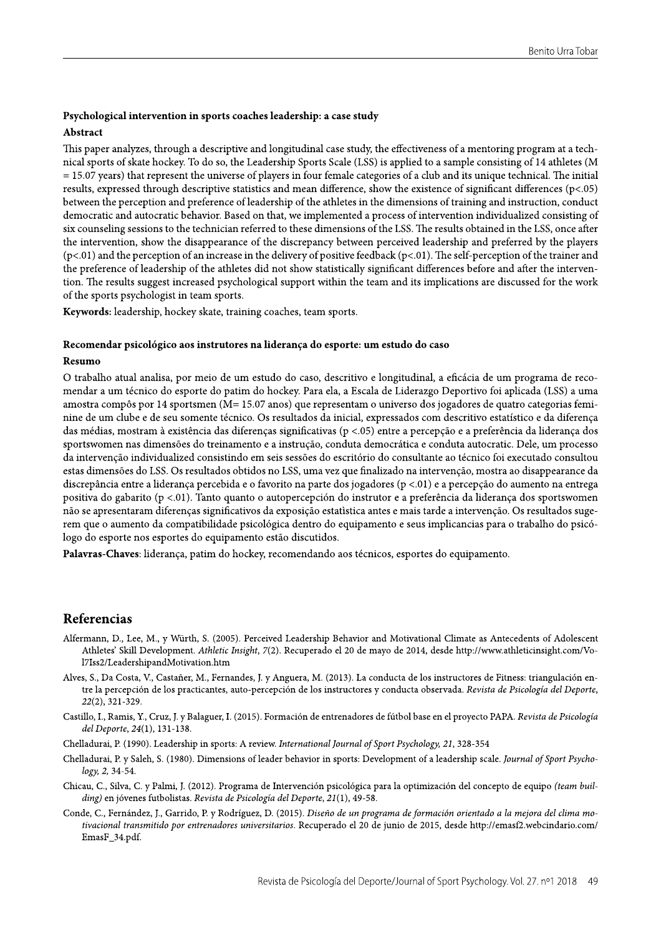## Psychological intervention in sports coaches leadership: a case study

#### Abstract

This paper analyzes, through a descriptive and longitudinal case study, the effectiveness of a mentoring program at a technical sports of skate hockey. To do so, the Leadership Sports Scale (LSS) is applied to a sample consisting of 14 athletes (M  $= 15.07$  years) that represent the universe of players in four female categories of a club and its unique technical. The initial results, expressed through descriptive statistics and mean difference, show the existence of significant differences (p<.05) between the perception and preference of leadership of the athletes in the dimensions of training and instruction, conduct democratic and autocratic behavior. Based on that, we implemented a process of intervention individualized consisting of six counseling sessions to the technician referred to these dimensions of the LSS. The results obtained in the LSS, once after the intervention, show the disappearance of the discrepancy between perceived leadership and preferred by the players  $(p<0.01)$  and the perception of an increase in the delivery of positive feedback  $(p<0.01)$ . The self-perception of the trainer and the preference of leadership of the athletes did not show statistically significant differences before and after the intervention. The results suggest increased psychological support within the team and its implications are discussed for the work of the sports psychologist in team sports.

Keywords: leadership, hockey skate, training coaches, team sports.

#### Recomendar psicológico aos instrutores na liderança do esporte: um estudo do caso

#### Resumo

O trabalho atual analisa, por meio de um estudo do caso, descritivo e longitudinal, a eficácia de um programa de recomendar a um técnico do esporte do patim do hockey. Para ela, a Escala de Liderazgo Deportivo foi aplicada (LSS) a uma amostra compôs por 14 sportsmen (M= 15.07 anos) que representam o universo dos jogadores de quatro categorias feminine de um clube e de seu somente técnico. Os resultados da inicial, expressados com descritivo estatístico e da diferença das médias, mostram à existência das diferenças significativas (p <.05) entre a percepção e a preferência da liderança dos sportswomen nas dimensões do treinamento e a instrução, conduta democrática e conduta autocratic. Dele, um processo da intervenção individualized consistindo em seis sessões do escritório do consultante ao técnico foi executado consultou estas dimensões do LSS. Os resultados obtidos no LSS, uma vez que finalizado na intervenção, mostra ao disappearance da discrepância entre a liderança percebida e o favorito na parte dos jogadores (p <.01) e a percepção do aumento na entrega positiva do gabarito (p <.01). Tanto quanto o autopercepción do instrutor e a preferência da liderança dos sportswomen não se apresentaram diferenças significativos da exposição estatística antes e mais tarde a intervenção. Os resultados sugerem que o aumento da compatibilidade psicológica dentro do equipamento e seus implicancias para o trabalho do psicólogo do esporte nos esportes do equipamento estão discutidos.

Palavras-Chaves: liderança, patim do hockey, recomendando aos técnicos, esportes do equipamento.

# Referencias

- Alfermann, D., Lee, M., y Würth, S. (2005). Perceived Leadership Behavior and Motivational Climate as Antecedents of Adolescent Athletes' Skill Development. Athletic Insight, 7(2). Recuperado el 20 de mayo de 2014, desde http://www.athleticinsight.com/Vol7Iss2/LeadershipandMotivation.htm
- Alves, S., Da Costa, V., Castañer, M., Fernandes, J. y Anguera, M. (2013). La conducta de los instructores de Fitness: triangulación entre la percepción de los practicantes, auto-percepción de los instructores y conducta observada. Revista de Psicología del Deporte,  $22(2), 321-329.$
- Castillo, I., Ramis, Y., Cruz, J. y Balaguer, I. (2015). Formación de entrenadores de fútbol base en el proyecto PAPA. Revista de Psicología del Deporte, 24(1), 131-138.
- Chelladurai, P. (1990). Leadership in sports: A review. International Journal of Sport Psychology, 21, 328-354
- Chelladurai, P. y Saleh, S. (1980). Dimensions of leader behavior in sports: Development of a leadership scale. Journal of Sport Psychology, 2, 34-54.
- Chicau, C., Silva, C. y Palmi, J. (2012). Programa de Intervención psicológica para la optimización del concepto de equipo (team building) en jóvenes futbolistas. Revista de Psicología del Deporte, 21(1), 49-58.
- Conde, C., Fernández, J., Garrido, P. y Rodríguez, D. (2015). Diseño de un programa de formación orientado a la mejora del clima motivacional transmitido por entrenadores universitarios. Recuperado el 20 de junio de 2015, desde http://emasf2.webcindario.com/ EmasF\_34.pdf.